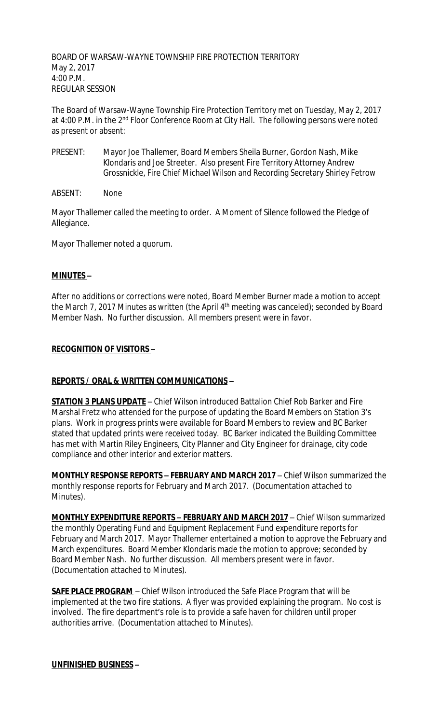BOARD OF WARSAW-WAYNE TOWNSHIP FIRE PROTECTION TERRITORY May 2, 2017 4:00 P.M. REGULAR SESSION

The Board of Warsaw-Wayne Township Fire Protection Territory met on Tuesday, May 2, 2017 at 4:00 P.M. in the 2<sup>nd</sup> Floor Conference Room at City Hall. The following persons were noted as present or absent:

- PRESENT: Mayor Joe Thallemer, Board Members Sheila Burner, Gordon Nash, Mike Klondaris and Joe Streeter. Also present Fire Territory Attorney Andrew Grossnickle, Fire Chief Michael Wilson and Recording Secretary Shirley Fetrow
- ABSENT: None

Mayor Thallemer called the meeting to order. A Moment of Silence followed the Pledge of Allegiance.

Mayor Thallemer noted a quorum.

## **MINUTES –**

After no additions or corrections were noted, Board Member Burner made a motion to accept the March 7, 2017 Minutes as written (the April 4<sup>th</sup> meeting was canceled); seconded by Board Member Nash. No further discussion. All members present were in favor.

### **RECOGNITION OF VISITORS –**

## **REPORTS / ORAL & WRITTEN COMMUNICATIONS –**

**STATION 3 PLANS UPDATE** – Chief Wilson introduced Battalion Chief Rob Barker and Fire Marshal Fretz who attended for the purpose of updating the Board Members on Station 3's plans. Work in progress prints were available for Board Members to review and BC Barker stated that updated prints were received today. BC Barker indicated the Building Committee has met with Martin Riley Engineers, City Planner and City Engineer for drainage, city code compliance and other interior and exterior matters.

**MONTHLY RESPONSE REPORTS – FEBRUARY AND MARCH 2017** – Chief Wilson summarized the monthly response reports for February and March 2017. (Documentation attached to Minutes).

**MONTHLY EXPENDITURE REPORTS – FEBRUARY AND MARCH 2017** – Chief Wilson summarized the monthly Operating Fund and Equipment Replacement Fund expenditure reports for February and March 2017. Mayor Thallemer entertained a motion to approve the February and March expenditures. Board Member Klondaris made the motion to approve; seconded by Board Member Nash. No further discussion. All members present were in favor. (Documentation attached to Minutes).

**SAFE PLACE PROGRAM** – Chief Wilson introduced the Safe Place Program that will be implemented at the two fire stations. A flyer was provided explaining the program. No cost is involved. The fire department's role is to provide a safe haven for children until proper authorities arrive. (Documentation attached to Minutes).

#### **UNFINISHED BUSINESS –**